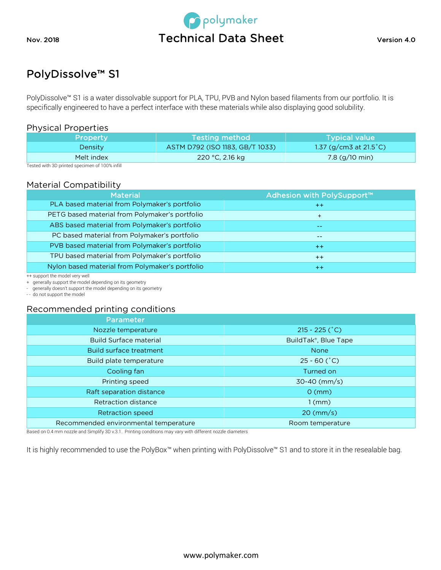



# PolyDissolve™ S1

PolyDissolve™ S1 is a water dissolvable support for PLA, TPU, PVB and Nylon based filaments from our portfolio. It is specifically engineered to have a perfect interface with these materials while also displaying good solubility.

### Physical Properties

| <b>Property</b> | <b>Testing method</b>           | <b>Typical value</b>              |
|-----------------|---------------------------------|-----------------------------------|
| <b>Density</b>  | ASTM D792 (ISO 1183, GB/T 1033) | 1.37 (g/cm3 at 21.5 $^{\circ}$ C) |
| Melt index      | 220 °C, 2.16 kg                 | 7.8 $(g/10 \text{ min})$          |

Tested with 3D printed specimen of 100% infill

## Material Compatibility

| <b>Material</b>                                 | Adhesion with PolySupport™ |
|-------------------------------------------------|----------------------------|
| PLA based material from Polymaker's portfolio   | $++$                       |
| PETG based material from Polymaker's portfolio  | $+$                        |
| ABS based material from Polymaker's portfolio   | $- -$                      |
| PC based material from Polymaker's portfolio    | --                         |
| PVB based material from Polymaker's portfolio   | $++$                       |
| TPU based material from Polymaker's portfolio   | $++$                       |
| Nylon based material from Polymaker's portfolio | $++$                       |

++ support the model very well

+ generally support the model depending on its geometry

- generally doesn't support the model depending on its geometry

- - do not support the model

#### Recommended printing conditions

| Parameter                             |                      |
|---------------------------------------|----------------------|
| Nozzle temperature                    | $215 - 225$ (°C)     |
| <b>Build Surface material</b>         | BuildTak®, Blue Tape |
| <b>Build surface treatment</b>        | <b>None</b>          |
| Build plate temperature               | $25 - 60$ (°C)       |
| Cooling fan                           | Turned on            |
| Printing speed                        | $30-40$ (mm/s)       |
| Raft separation distance              | $0 \, \text{(mm)}$   |
| Retraction distance                   | $1$ (mm)             |
| <b>Retraction speed</b>               | $20 \, (mm/s)$       |
| Recommended environmental temperature | Room temperature     |

Based on 0.4 mm nozzle and Simplify 3D v.3.1. Printing conditions may vary with different nozzle diameters

It is highly recommended to use the PolyBox™ when printing with PolyDissolve™ S1 and to store it in the resealable bag.